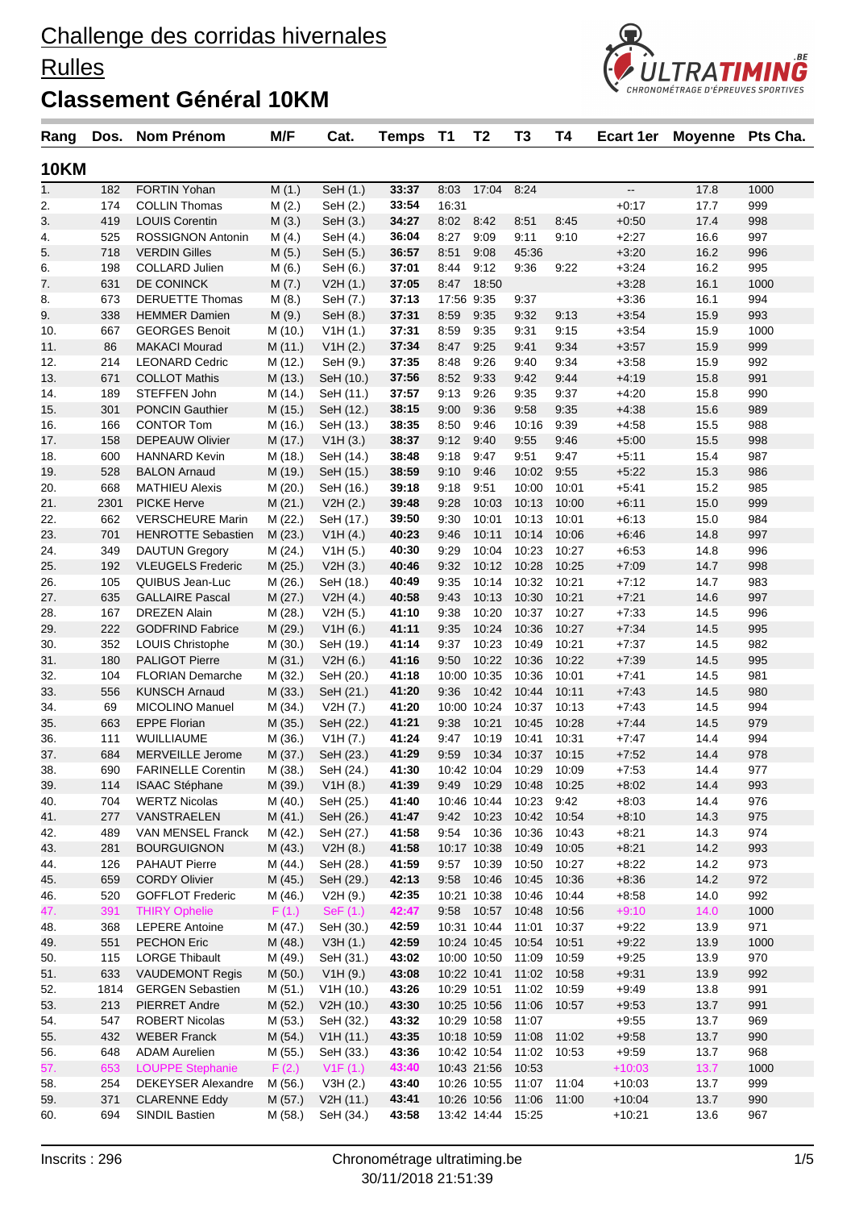### **Rulles**



| Rang        | Dos. | <b>Nom Prénom</b>         | M/F     | Cat.      | Temps | T1         | T <sub>2</sub>    | T <sub>3</sub>          | T4    | Ecart 1er                | Moyenne Pts Cha. |      |
|-------------|------|---------------------------|---------|-----------|-------|------------|-------------------|-------------------------|-------|--------------------------|------------------|------|
| <b>10KM</b> |      |                           |         |           |       |            |                   |                         |       |                          |                  |      |
| 1.          | 182  | <b>FORTIN Yohan</b>       | M(1.)   | SeH (1.)  | 33:37 | 8:03       | 17:04             | 8:24                    |       | $\overline{\phantom{a}}$ | 17.8             | 1000 |
| 2.          | 174  | <b>COLLIN Thomas</b>      | M(2.)   | SeH (2.)  | 33:54 | 16:31      |                   |                         |       | $+0:17$                  | 17.7             | 999  |
| 3.          | 419  | <b>LOUIS Corentin</b>     | M(3.)   | SeH (3.)  | 34:27 | 8:02       | 8:42              | 8:51                    | 8:45  | $+0:50$                  | 17.4             | 998  |
| 4.          | 525  | ROSSIGNON Antonin         | M(4.)   | SeH (4.)  | 36:04 | 8:27       | 9:09              | 9:11                    | 9:10  | $+2:27$                  | 16.6             | 997  |
| 5.          | 718  | <b>VERDIN Gilles</b>      | M(5.)   | SeH (5.)  | 36:57 | 8:51       | 9:08              | 45:36                   |       | $+3:20$                  | 16.2             | 996  |
| 6.          | 198  | <b>COLLARD Julien</b>     | M(6.)   | SeH (6.)  | 37:01 | 8:44       | 9:12              | 9:36                    | 9:22  | $+3:24$                  | 16.2             | 995  |
| 7.          | 631  | DE CONINCK                | M(7.)   | V2H(1.)   | 37:05 | 8:47       | 18:50             |                         |       | $+3:28$                  | 16.1             | 1000 |
| 8.          | 673  | <b>DERUETTE Thomas</b>    | M(8.)   | SeH (7.)  | 37:13 | 17:56 9:35 |                   | 9:37                    |       | $+3:36$                  | 16.1             | 994  |
| 9.          | 338  | <b>HEMMER Damien</b>      | M(9.)   | SeH (8.)  | 37:31 | 8:59       | 9:35              | 9:32                    | 9:13  | $+3.54$                  | 15.9             | 993  |
| 10.         | 667  | <b>GEORGES Benoit</b>     | M (10.) | V1H(1.)   | 37:31 | 8:59       | 9:35              | 9:31                    | 9:15  | $+3:54$                  | 15.9             | 1000 |
| 11.         | 86   | <b>MAKACI Mourad</b>      | M (11.) | V1H(2.)   | 37:34 | 8:47       | 9:25              | 9:41                    | 9:34  | $+3:57$                  | 15.9             | 999  |
| 12.         | 214  | <b>LEONARD Cedric</b>     | M (12.) | SeH (9.)  | 37:35 | 8:48       | 9:26              | 9:40                    | 9:34  | $+3:58$                  | 15.9             | 992  |
| 13.         | 671  | <b>COLLOT Mathis</b>      | M (13.) | SeH (10.) | 37:56 | 8:52       | 9:33              | 9:42                    | 9:44  | $+4:19$                  | 15.8             | 991  |
| 14.         | 189  | STEFFEN John              | M (14.) | SeH (11.) | 37:57 | 9:13       | 9:26              | 9:35                    | 9:37  | $+4:20$                  | 15.8             | 990  |
| 15.         | 301  | <b>PONCIN Gauthier</b>    | M (15.) | SeH (12.) | 38:15 | 9:00       | 9:36              | 9:58                    | 9:35  | $+4:38$                  | 15.6             | 989  |
| 16.         | 166  | <b>CONTOR Tom</b>         | M (16.) | SeH (13.) | 38:35 | 8:50       | 9:46              | 10:16                   | 9:39  | $+4:58$                  | 15.5             | 988  |
| 17.         | 158  | <b>DEPEAUW Olivier</b>    | M (17.) | V1H (3.)  | 38:37 | 9:12       | 9:40              | 9:55                    | 9:46  | $+5:00$                  | 15.5             | 998  |
| 18.         | 600  | <b>HANNARD Kevin</b>      | M (18.) | SeH (14.) | 38:48 | 9:18       | 9:47              | 9:51                    | 9:47  | $+5:11$                  | 15.4             | 987  |
| 19.         | 528  | <b>BALON Arnaud</b>       | M (19.) | SeH (15.) | 38:59 | 9:10       | 9:46              | 10:02                   | 9:55  | $+5:22$                  | 15.3             | 986  |
| 20.         | 668  | <b>MATHIEU Alexis</b>     | M (20.) | SeH (16.) | 39:18 | 9:18       | 9:51              | 10:00                   | 10:01 | $+5:41$                  | 15.2             | 985  |
| 21.         | 2301 | <b>PICKE Herve</b>        | M(21.)  | V2H (2.)  | 39:48 | 9:28       | 10:03             | 10:13                   | 10:00 | $+6:11$                  | 15.0             | 999  |
| 22.         | 662  | <b>VERSCHEURE Marin</b>   | M (22.) | SeH (17.) | 39:50 | 9:30       | 10:01             | 10:13                   | 10:01 | $+6:13$                  | 15.0             | 984  |
| 23.         | 701  | <b>HENROTTE Sebastien</b> | M(23.)  | V1H(4.)   | 40:23 | 9:46       | 10:11             | 10:14                   | 10:06 | $+6:46$                  | 14.8             | 997  |
| 24.         | 349  | <b>DAUTUN Gregory</b>     | M (24.) | V1H (5.)  | 40:30 | 9:29       | 10:04             | 10:23                   | 10:27 | $+6.53$                  | 14.8             | 996  |
| 25.         | 192  | <b>VLEUGELS Frederic</b>  | M (25.) | V2H(3.)   | 40:46 | 9:32       | 10:12             | 10:28                   | 10:25 | $+7:09$                  | 14.7             | 998  |
| 26.         | 105  | QUIBUS Jean-Luc           | M(26.)  | SeH (18.) | 40:49 | 9:35       | 10:14             | 10:32                   | 10:21 | $+7:12$                  | 14.7             | 983  |
| 27.         | 635  | <b>GALLAIRE Pascal</b>    | M(27.)  | V2H(4.)   | 40:58 | 9:43       | 10:13             | 10:30                   | 10:21 | $+7:21$                  | 14.6             | 997  |
| 28.         | 167  | <b>DREZEN Alain</b>       | M (28.) | V2H (5.)  | 41:10 | 9:38       | 10:20             | 10:37                   | 10:27 | $+7:33$                  | 14.5             | 996  |
| 29.         | 222  | <b>GODFRIND Fabrice</b>   | M (29.) | V1H(6.)   | 41:11 | 9:35       | 10:24             | 10:36                   | 10:27 | $+7:34$                  | 14.5             | 995  |
| 30.         | 352  | <b>LOUIS Christophe</b>   | M (30.) | SeH (19.) | 41:14 | 9:37       | 10:23             | 10:49                   | 10:21 | $+7:37$                  | 14.5             | 982  |
| 31.         | 180  | <b>PALIGOT Pierre</b>     | M(31.)  | V2H(6.)   | 41:16 | 9:50       | 10:22             | 10:36                   | 10:22 | $+7.39$                  | 14.5             | 995  |
| 32.         | 104  | FLORIAN Demarche          | M (32.) | SeH (20.) | 41:18 |            | 10:00 10:35       | 10:36                   | 10:01 | $+7:41$                  | 14.5             | 981  |
| 33.         | 556  | <b>KUNSCH Arnaud</b>      | M(33.)  | SeH (21.) | 41:20 | 9:36       | 10:42             | 10:44                   | 10:11 | $+7:43$                  | 14.5             | 980  |
| 34.         | 69   | <b>MICOLINO Manuel</b>    | M (34.) | V2H (7.)  | 41:20 |            | 10:00 10:24       | 10:37                   | 10:13 | $+7.43$                  | 14.5             | 994  |
| 35.         | 663  | <b>EPPE Florian</b>       | M (35.) | SeH (22.) | 41:21 | 9:38       | 10:21             | 10:45                   | 10:28 | $+7:44$                  | 14.5             | 979  |
| 36.         | 111  | WUILLIAUME                | M (36.) | V1H (7.)  | 41:24 | 9:47       | 10:19             | 10:41                   | 10:31 | $+7:47$                  | 14.4             | 994  |
| 37.         | 684  | MERVEILLE Jerome          | M (37.) | SeH (23.) | 41:29 | 9:59       | 10:34             | 10:37                   | 10:15 | $+7:52$                  | 14.4             | 978  |
| 38.         | 690  | <b>FARINELLE Corentin</b> | M (38.) | SeH (24.) | 41:30 |            | 10:42 10:04       | 10:29                   | 10:09 | $+7:53$                  | 14.4             | 977  |
| 39.         | 114  | <b>ISAAC Stéphane</b>     | M (39.) | V1H(8.)   | 41:39 |            |                   | 9:49 10:29 10:48 10:25  |       | $+8:02$                  | 14.4             | 993  |
| 40.         | 704  | <b>WERTZ Nicolas</b>      | M (40.) | SeH (25.) | 41:40 |            |                   | 10:46 10:44 10:23       | 9:42  | $+8:03$                  | 14.4             | 976  |
| 41.         | 277  | VANSTRAELEN               | M(41.)  | SeH (26.) | 41:47 |            |                   | 9:42 10:23 10:42 10:54  |       | $+8:10$                  | 14.3             | 975  |
| 42.         | 489  | VAN MENSEL Franck         | M (42.) | SeH (27.) | 41:58 |            | 9:54 10:36        | 10:36                   | 10:43 | $+8:21$                  | 14.3             | 974  |
| 43.         | 281  | <b>BOURGUIGNON</b>        | M (43.) | V2H(8.)   | 41:58 |            | 10:17 10:38       | 10:49                   | 10:05 | $+8.21$                  | 14.2             | 993  |
| 44.         | 126  | <b>PAHAUT Pierre</b>      | M (44.) | SeH (28.) | 41:59 |            | 9:57 10:39        | 10:50                   | 10:27 | $+8:22$                  | 14.2             | 973  |
| 45.         | 659  | <b>CORDY Olivier</b>      | M (45.) | SeH (29.) | 42:13 | 9:58       | 10:46             | 10:45                   | 10:36 | $+8:36$                  | 14.2             | 972  |
| 46.         | 520  | <b>GOFFLOT Frederic</b>   | M (46.) | V2H (9.)  | 42:35 |            |                   | 10:21 10:38 10:46       | 10:44 | $+8.58$                  | 14.0             | 992  |
| 47.         | 391  | <b>THIRY Ophelie</b>      | F(1.)   | SeF(1.)   | 42:47 |            |                   | 9:58 10:57 10:48        | 10:56 | $+9:10$                  | 14.0             | 1000 |
| 48.         | 368  | <b>LEPERE</b> Antoine     | M (47.) | SeH (30.) | 42:59 |            | 10:31 10:44 11:01 |                         | 10:37 | $+9:22$                  | 13.9             | 971  |
| 49.         | 551  | <b>PECHON Eric</b>        | M (48.) | V3H(1.)   | 42:59 |            |                   | 10:24 10:45 10:54       | 10:51 | $+9:22$                  | 13.9             | 1000 |
| 50.         | 115  | <b>LORGE Thibault</b>     | M (49.) | SeH (31.) | 43:02 |            |                   | 10:00 10:50 11:09       | 10:59 | $+9:25$                  | 13.9             | 970  |
| 51.         | 633  | <b>VAUDEMONT Regis</b>    | M (50.) | V1H(9.)   | 43:08 |            |                   | 10:22 10:41 11:02 10:58 |       | $+9:31$                  | 13.9             | 992  |
| 52.         | 1814 | <b>GERGEN Sebastien</b>   | M (51.) | V1H(10.)  | 43:26 |            |                   | 10:29 10:51 11:02       | 10:59 | $+9.49$                  | 13.8             | 991  |
| 53.         | 213  | PIERRET Andre             | M (52.) | V2H (10.) | 43:30 |            | 10:25 10:56       | 11:06                   | 10:57 | $+9.53$                  | 13.7             | 991  |
| 54.         | 547  | <b>ROBERT Nicolas</b>     | M (53.) | SeH (32.) | 43:32 |            | 10:29 10:58       | 11:07                   |       | $+9:55$                  | 13.7             | 969  |
| 55.         | 432  | <b>WEBER Franck</b>       | M (54.) | V1H(11.)  | 43:35 |            |                   | 10:18 10:59 11:08       | 11:02 | $+9.58$                  | 13.7             | 990  |
| 56.         | 648  | <b>ADAM Aurelien</b>      | M (55.) | SeH (33.) | 43:36 |            |                   | 10:42 10:54 11:02 10:53 |       | $+9.59$                  | 13.7             | 968  |
| 57.         | 653  | <b>LOUPPE Stephanie</b>   | F(2.)   | V1F(1.)   | 43:40 |            | 10:43 21:56 10:53 |                         |       | $+10:03$                 | 13.7             | 1000 |
| 58.         | 254  | <b>DEKEYSER Alexandre</b> | M (56.) | V3H(2.)   | 43:40 |            |                   | 10:26 10:55 11:07 11:04 |       | $+10:03$                 | 13.7             | 999  |
| 59.         | 371  | <b>CLARENNE Eddy</b>      | M (57.) | V2H (11.) | 43:41 |            | 10:26 10:56 11:06 |                         | 11:00 | $+10:04$                 | 13.7             | 990  |
| 60.         | 694  | SINDIL Bastien            | M (58.) | SeH (34.) | 43:58 |            | 13:42 14:44 15:25 |                         |       | $+10:21$                 | 13.6             | 967  |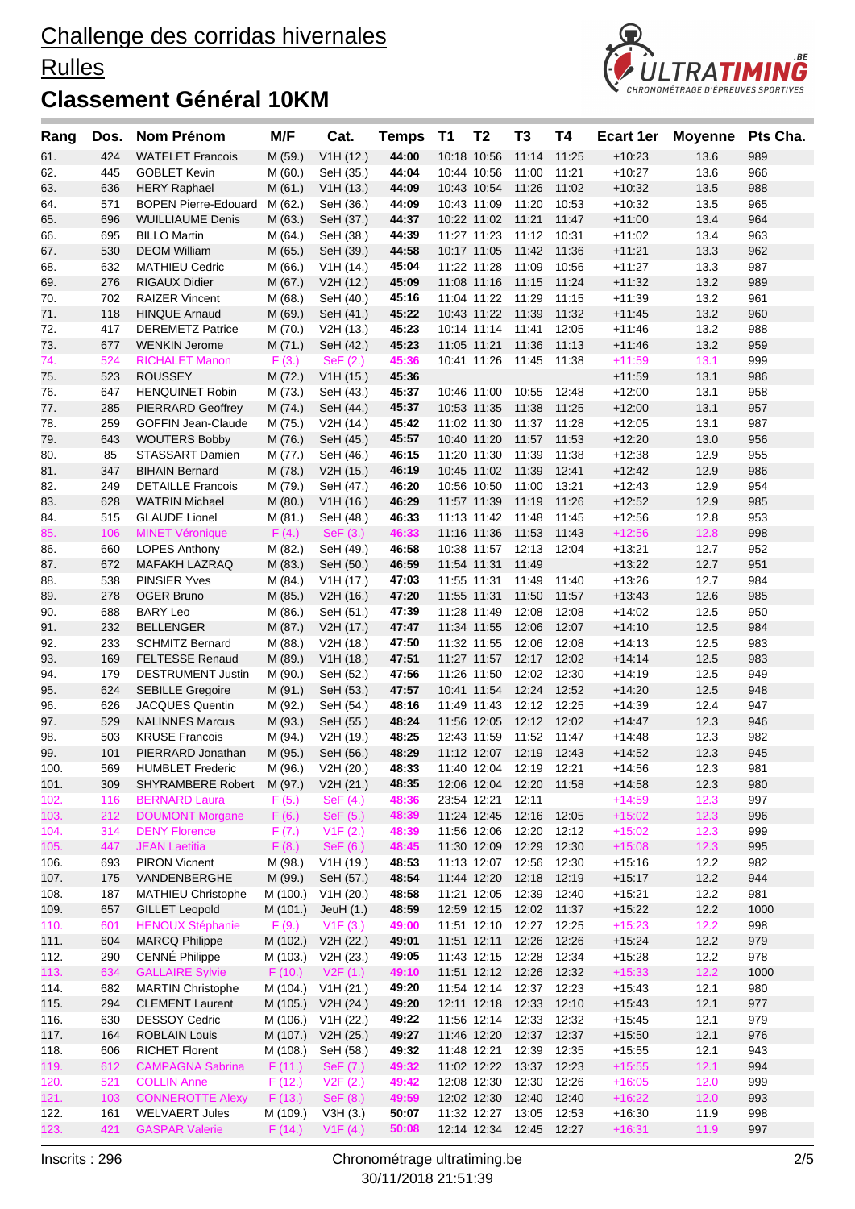### **Rulles**



| Rang         | Dos.       | <b>Nom Prénom</b>                         | M/F               | Cat.                   | <b>Temps</b>   | <b>T1</b>   | T <sub>2</sub>    | T <sub>3</sub>                               | Τ4    | Ecart 1er            | <b>Moyenne</b> | Pts Cha.   |
|--------------|------------|-------------------------------------------|-------------------|------------------------|----------------|-------------|-------------------|----------------------------------------------|-------|----------------------|----------------|------------|
| 61.          | 424        | <b>WATELET Francois</b>                   | M (59.)           | V1H (12.)              | 44:00          |             | 10:18 10:56       | 11:14                                        | 11:25 | $+10:23$             | 13.6           | 989        |
| 62.          | 445        | <b>GOBLET Kevin</b>                       | M (60.)           | SeH (35.)              | 44:04          |             | 10:44 10:56       | 11:00                                        | 11:21 | $+10:27$             | 13.6           | 966        |
| 63.          | 636        | <b>HERY Raphael</b>                       | M(61.)            | V1H(13.)               | 44:09          |             | 10:43 10:54 11:26 |                                              | 11:02 | $+10.32$             | 13.5           | 988        |
| 64.          | 571        | <b>BOPEN Pierre-Edouard</b>               | M (62.)           | SeH (36.)              | 44:09          |             | 10:43 11:09       | 11:20 10:53                                  |       | $+10.32$             | 13.5           | 965        |
| 65.          | 696        | <b>WUILLIAUME Denis</b>                   | M (63.)           | SeH (37.)              | 44:37          |             | 10:22 11:02 11:21 |                                              | 11:47 | $+11:00$             | 13.4           | 964        |
| 66.          | 695        | <b>BILLO Martin</b>                       | M (64.)           | SeH (38.)              | 44:39          |             | 11:27 11:23       | 11:12                                        | 10:31 | $+11:02$             | 13.4           | 963        |
| 67.          | 530        | <b>DEOM William</b>                       | M (65.)           | SeH (39.)              | 44:58          |             | 10:17 11:05       | 11:42                                        | 11:36 | $+11:21$             | 13.3           | 962        |
| 68.          | 632        | <b>MATHIEU Cedric</b>                     | M (66.)           | V1H(14.)               | 45:04          |             | 11:22 11:28       | 11:09                                        | 10:56 | $+11:27$             | 13.3           | 987        |
| 69.          | 276        | RIGAUX Didier                             | M (67.)           | V2H (12.)              | 45:09          |             |                   | 11:08 11:16 11:15 11:24                      |       | $+11:32$             | 13.2           | 989        |
| 70.          | 702        | <b>RAIZER Vincent</b>                     | M (68.)           | SeH (40.)              | 45:16          |             |                   | 11:04 11:22 11:29                            | 11:15 | $+11:39$             | 13.2           | 961        |
| 71.          | 118        | <b>HINQUE Arnaud</b>                      | M (69.)           | SeH (41.)              | 45:22          |             | 10:43 11:22 11:39 |                                              | 11:32 | $+11.45$             | 13.2           | 960        |
| 72.          | 417        | <b>DEREMETZ Patrice</b>                   | M (70.)           | V2H (13.)              | 45:23          |             | 10:14 11:14 11:41 |                                              | 12:05 | $+11.46$             | 13.2           | 988        |
| 73.          | 677        | <b>WENKIN Jerome</b>                      | M(71.)            | SeH (42.)              | 45:23          | 11:05 11:21 |                   | 11:36                                        | 11:13 | $+11.46$             | 13.2           | 959        |
| 74.          | 524        | <b>RICHALET Manon</b>                     | F(3.)             | SeF(2.)                | 45:36          |             |                   | 10:41 11:26 11:45 11:38                      |       | $+11:59$             | 13.1           | 999        |
| 75.<br>76.   | 523<br>647 | <b>ROUSSEY</b><br><b>HENQUINET Robin</b>  | M(72.)<br>M (73.) | V1H(15.)               | 45:36<br>45:37 |             | 10:46 11:00       | 10:55                                        | 12:48 | $+11:59$<br>$+12:00$ | 13.1<br>13.1   | 986<br>958 |
| 77.          | 285        | <b>PIERRARD Geoffrey</b>                  | M(74.)            | SeH (43.)<br>SeH (44.) | 45:37          |             | 10:53 11:35       | 11:38                                        | 11:25 | $+12:00$             | 13.1           | 957        |
| 78.          | 259        | <b>GOFFIN Jean-Claude</b>                 | M (75.)           | V2H (14.)              | 45:42          |             | 11:02 11:30       | 11:37 11:28                                  |       | $+12:05$             | 13.1           | 987        |
| 79.          | 643        | <b>WOUTERS Bobby</b>                      | M (76.)           | SeH (45.)              | 45:57          |             | 10:40 11:20       | 11:57                                        | 11:53 | $+12:20$             | 13.0           | 956        |
| 80.          | 85         | STASSART Damien                           | M (77.)           | SeH (46.)              | 46:15          |             |                   | 11:20 11:30 11:39                            | 11:38 | $+12:38$             | 12.9           | 955        |
| 81.          | 347        | <b>BIHAIN Bernard</b>                     | M (78.)           | V2H (15.)              | 46:19          |             |                   | 10:45 11:02 11:39                            | 12:41 | $+12:42$             | 12.9           | 986        |
| 82.          | 249        | <b>DETAILLE Francois</b>                  | M (79.)           | SeH (47.)              | 46:20          |             |                   | 10:56 10:50 11:00                            | 13:21 | $+12:43$             | 12.9           | 954        |
| 83.          | 628        | <b>WATRIN Michael</b>                     | M (80.)           | V1H(16.)               | 46:29          |             | 11:57 11:39       | 11:19                                        | 11:26 | $+12.52$             | 12.9           | 985        |
| 84.          | 515        | <b>GLAUDE Lionel</b>                      | M (81.)           | SeH (48.)              | 46:33          |             | 11:13 11:42       | 11:48                                        | 11:45 | $+12:56$             | 12.8           | 953        |
| 85.          | 106        | <b>MINET Véronique</b>                    | F(4.)             | SeF(3.)                | 46:33          |             | 11:16 11:36       | 11:53                                        | 11:43 | $+12:56$             | 12.8           | 998        |
| 86.          | 660        | <b>LOPES Anthony</b>                      | M (82.)           | SeH (49.)              | 46:58          |             |                   | 10:38 11:57 12:13 12:04                      |       | $+13:21$             | 12.7           | 952        |
| 87.          | 672        | <b>MAFAKH LAZRAQ</b>                      | M (83.)           | SeH (50.)              | 46:59          | 11:54 11:31 |                   | 11:49                                        |       | $+13:22$             | 12.7           | 951        |
| 88.          | 538        | <b>PINSIER Yves</b>                       | M (84.)           | V1H(17.)               | 47:03          |             | 11:55 11:31       | 11:49                                        | 11:40 | $+13.26$             | 12.7           | 984        |
| 89.          | 278        | <b>OGER Bruno</b>                         | M (85.)           | V2H (16.)              | 47:20          |             | 11:55 11:31 11:50 |                                              | 11:57 | $+13:43$             | 12.6           | 985        |
| 90.          | 688        | <b>BARY Leo</b>                           | M (86.)           | SeH (51.)              | 47:39          |             | 11:28 11:49       | 12:08                                        | 12:08 | $+14.02$             | 12.5           | 950        |
| 91.          | 232        | <b>BELLENGER</b>                          | M(87.)            | V2H (17.)              | 47:47          |             | 11:34 11:55       | 12:06                                        | 12:07 | $+14:10$             | 12.5           | 984        |
| 92.          | 233        | <b>SCHMITZ Bernard</b>                    | M (88.)           | V2H (18.)              | 47:50          |             | 11:32 11:55       | 12:06                                        | 12:08 | $+14.13$             | 12.5           | 983        |
| 93.          | 169        | <b>FELTESSE Renaud</b>                    | M (89.)           | V1H(18.)               | 47:51          |             | 11:27 11:57       | 12:17                                        | 12:02 | $+14.14$             | 12.5           | 983        |
| 94.          | 179        | <b>DESTRUMENT Justin</b>                  | M (90.)           | SeH (52.)              | 47:56          |             | 11:26 11:50       | 12:02                                        | 12:30 | $+14:19$             | 12.5           | 949        |
| 95.          | 624        | <b>SEBILLE Gregoire</b>                   | M (91.)           | SeH (53.)              | 47:57          |             | 10:41 11:54       | 12:24                                        | 12:52 | $+14.20$             | 12.5           | 948        |
| 96.          | 626        | <b>JACQUES Quentin</b>                    | M (92.)           | SeH (54.)              | 48:16          |             |                   | 11:49 11:43 12:12 12:25                      |       | $+14.39$             | 12.4           | 947        |
| 97.          | 529        | <b>NALINNES Marcus</b>                    | M (93.)           | SeH (55.)              | 48:24          |             | 11:56 12:05       | 12:12 12:02                                  |       | $+14.47$             | 12.3           | 946        |
| 98.          | 503        | <b>KRUSE Francois</b>                     | M (94.)           | V2H (19.)              | 48:25          |             | 12:43 11:59       | 11:52 11:47<br>11:12 12:07 12:19 12:43       |       | +14:48               | 12.3           | 982        |
| 99.          | 101        | PIERRARD Jonathan                         | M (95.)           | SeH (56.)              | 48:29          |             |                   |                                              |       | $+14.52$             | 12.3           | 945        |
| 100.<br>101. |            | 569 HUMBLET Frederic<br>SHYRAMBERE Robert |                   | M (96.) V2H (20.)      | 48:33<br>48:35 |             |                   | 11:40 12:04 12:19 12:21<br>12:06 12:04 12:20 | 11:58 | $+14:56$<br>$+14:58$ | 12.3<br>12.3   | 981<br>980 |
| 102.         | 309<br>116 | <b>BERNARD Laura</b>                      | M (97.)<br>F(5.)  | V2H (21.)<br>SeF(4.)   | 48:36          |             | 23:54 12:21       | 12:11                                        |       | $+14:59$             | 12.3           | 997        |
| 103.         | 212        | <b>DOUMONT Morgane</b>                    | F(6.)             | SeF (5.)               | 48:39          |             |                   | 11:24 12:45 12:16 12:05                      |       | $+15:02$             | 12.3           | 996        |
| 104.         | 314        | <b>DENY Florence</b>                      | F(7.)             | V1F(2.)                | 48:39          |             | 11:56 12:06 12:20 |                                              | 12:12 | $+15:02$             | 12.3           | 999        |
| 105.         | 447        | <b>JEAN Laetitia</b>                      | F(8.)             | SeF (6.)               | 48:45          |             | 11:30 12:09       | 12:29                                        | 12:30 | $+15:08$             | 12.3           | 995        |
| 106.         | 693        | <b>PIRON Vicnent</b>                      | M (98.)           | V1H (19.)              | 48:53          |             | 11:13 12:07 12:56 |                                              | 12:30 | +15:16               | 12.2           | 982        |
| 107.         | 175        | VANDENBERGHE                              | M (99.)           | SeH (57.)              | 48:54          |             | 11:44 12:20       | 12:18                                        | 12:19 | $+15:17$             | 12.2           | 944        |
| 108.         | 187        | <b>MATHIEU Christophe</b>                 | M (100.)          | V1H (20.)              | 48:58          |             | 11:21 12:05 12:39 |                                              | 12:40 | $+15.21$             | 12.2           | 981        |
| 109.         | 657        | <b>GILLET Leopold</b>                     | M (101.)          | JeuH $(1.)$            | 48:59          |             | 12:59 12:15       | 12:02 11:37                                  |       | $+15:22$             | 12.2           | 1000       |
| 110.         | 601        | <b>HENOUX Stéphanie</b>                   | F(9.)             | V1F(3.)                | 49:00          |             |                   | 11:51 12:10 12:27                            | 12:25 | $+15:23$             | 12.2           | 998        |
| 111.         | 604        | <b>MARCQ Philippe</b>                     | M (102.)          | V2H (22.)              | 49:01          |             | 11:51 12:11 12:26 |                                              | 12:26 | $+15:24$             | 12.2           | 979        |
| 112.         | 290        | CENNÉ Philippe                            | M (103.)          | V2H (23.)              | 49:05          |             | 11:43 12:15 12:28 |                                              | 12:34 | $+15:28$             | 12.2           | 978        |
| 113.         | 634        | <b>GALLAIRE Sylvie</b>                    | F(10.)            | V2F(1.)                | 49:10          |             |                   | 11:51 12:12 12:26 12:32                      |       | $+15:33$             | 12.2           | 1000       |
| 114.         | 682        | <b>MARTIN Christophe</b>                  | M (104.)          | V1H (21.)              | 49:20          |             |                   | 11:54 12:14 12:37 12:23                      |       | $+15:43$             | 12.1           | 980        |
| 115.         | 294        | <b>CLEMENT Laurent</b>                    | M (105.)          | V2H (24.)              | 49:20          |             | 12:11 12:18       | 12:33                                        | 12:10 | $+15:43$             | 12.1           | 977        |
| 116.         | 630        | <b>DESSOY Cedric</b>                      | M (106.)          | V1H (22.)              | 49:22          |             |                   | 11:56 12:14 12:33                            | 12:32 | $+15:45$             | 12.1           | 979        |
| 117.         | 164        | <b>ROBLAIN Louis</b>                      | M (107.)          | V2H (25.)              | 49:27          |             | 11:46 12:20       | 12:37 12:37                                  |       | $+15:50$             | 12.1           | 976        |
| 118.         | 606        | <b>RICHET Florent</b>                     | M (108.)          | SeH (58.)              | 49:32          |             | 11:48 12:21       | 12:39                                        | 12:35 | $+15:55$             | 12.1           | 943        |
| 119.         | 612        | <b>CAMPAGNA Sabrina</b>                   | F(11.)            | SeF (7.)               | 49:32          |             |                   | 11:02 12:22 13:37 12:23                      |       | $+15:55$             | 12.1           | 994        |
| 120.         | 521        | <b>COLLIN Anne</b>                        | F(12.)            | V2F(2.)                | 49:42          |             | 12:08 12:30       | 12:30 12:26                                  |       | $+16:05$             | 12.0           | 999        |
| 121.         | 103        | <b>CONNEROTTE Alexy</b>                   | F(13.)            | SeF (8.)               | 49:59          |             | 12:02 12:30       | 12:40                                        | 12:40 | $+16:22$             | 12.0           | 993        |
| 122.         | 161        | <b>WELVAERT Jules</b>                     | M (109.)          | V3H(3.)                | 50:07          |             | 11:32 12:27       | 13:05                                        | 12:53 | $+16:30$             | 11.9           | 998        |
| 123.         | 421        | <b>GASPAR Valerie</b>                     | F(14.)            | V1F(4.)                | 50:08          |             | 12:14 12:34 12:45 |                                              | 12:27 | $+16:31$             | 11.9           | 997        |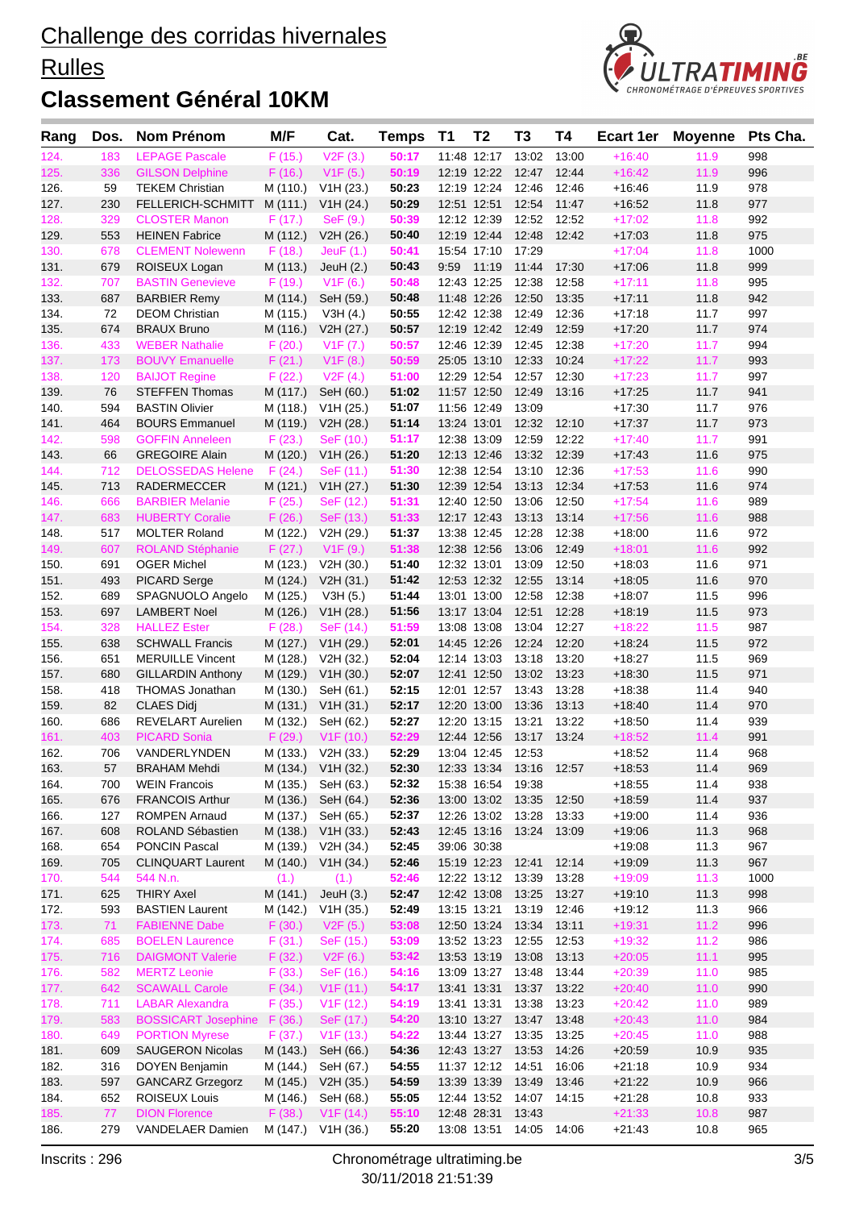### **Rulles**



| Rang         | Dos.       | Nom Prénom                               | M/F                  | Cat.                          | <b>Temps</b>   | <b>T1</b> | T <sub>2</sub>                   | T3                      | Τ4    | <b>Ecart 1er</b>     | <b>Moyenne</b> | Pts Cha.   |
|--------------|------------|------------------------------------------|----------------------|-------------------------------|----------------|-----------|----------------------------------|-------------------------|-------|----------------------|----------------|------------|
| 124.         | 183        | <b>LEPAGE Pascale</b>                    | F(15.)               | V2F(3.)                       | 50:17          |           | 11:48 12:17                      | 13:02                   | 13:00 | $+16:40$             | 11.9           | 998        |
| 125.         | 336        | <b>GILSON Delphine</b>                   | F(16.)               | V1F(5.)                       | 50:19          |           | 12:19 12:22                      | 12:47                   | 12:44 | $+16:42$             | 11.9           | 996        |
| 126.         | 59         | <b>TEKEM Christian</b>                   | M (110.)             | V1H (23.)                     | 50:23          |           | 12:19 12:24                      | 12:46                   | 12:46 | $+16.46$             | 11.9           | 978        |
| 127.         | 230        | FELLERICH-SCHMITT                        | M (111.)             | V1H (24.)                     | 50:29          |           |                                  | 12:51 12:51 12:54       | 11:47 | $+16.52$             | 11.8           | 977        |
| 128.         | 329        | <b>CLOSTER Manon</b>                     | F(17.)               | $\mathsf{SeF}\left(9.\right)$ | 50:39          |           | 12:12 12:39                      | 12:52 12:52             |       | $+17:02$             | 11.8           | 992        |
| 129.         | 553        | <b>HEINEN Fabrice</b>                    | M (112.)             | V2H (26.)                     | 50:40          |           | 12:19 12:44                      | 12:48                   | 12:42 | $+17:03$             | 11.8           | 975        |
| 130.         | 678        | <b>CLEMENT Nolewenn</b>                  | F(18.)               | JeuF $(1.)$                   | 50:41          |           | 15:54 17:10                      | 17:29                   |       | $+17:04$             | 11.8           | 1000       |
| 131.         | 679        | ROISEUX Logan                            | M (113.)             | JeuH $(2.)$                   | 50:43          | 9:59      | 11:19                            | 11:44                   | 17:30 | $+17:06$             | 11.8           | 999        |
| 132.         | 707        | <b>BASTIN Genevieve</b>                  | F(19.)               | V1F(6.)                       | 50:48          |           | 12:43 12:25                      | 12:38                   | 12:58 | $+17:11$             | 11.8           | 995        |
| 133.         | 687        | <b>BARBIER Remy</b>                      | M (114.)             | SeH (59.)                     | 50:48          |           | 11:48 12:26                      | 12:50                   | 13:35 | $+17:11$             | 11.8           | 942        |
| 134.         | 72         | <b>DEOM Christian</b>                    | M (115.)             | V3H(4.)                       | 50:55          |           | 12:42 12:38                      | 12:49                   | 12:36 | $+17:18$             | 11.7           | 997        |
| 135.         | 674        | <b>BRAUX Bruno</b>                       | M (116.)             | V2H (27.)                     | 50:57          |           | 12:19 12:42                      | 12:49                   | 12:59 | $+17:20$             | 11.7           | 974        |
| 136.         | 433        | <b>WEBER Nathalie</b>                    | F(20.)               | V1F (7.)                      | 50:57          |           | 12:46 12:39                      | 12:45                   | 12:38 | $+17:20$             | 11.7           | 994        |
| 137.         | 173        | <b>BOUVY Emanuelle</b>                   | F(21.)               | V1F(8.)                       | 50:59          |           | 25:05 13:10                      | 12:33                   | 10:24 | $+17:22$             | 11.7           | 993        |
| 138.         | 120        | <b>BAIJOT Regine</b>                     | F(22.)               | V2F(4.)                       | 51:00          |           |                                  | 12:29 12:54 12:57       | 12:30 | $+17:23$             | 11.7           | 997        |
| 139.         | 76         | <b>STEFFEN Thomas</b>                    | M (117.)             | SeH (60.)                     | 51:02          |           | 11:57 12:50                      | 12:49                   | 13:16 | $+17:25$             | 11.7           | 941        |
| 140.         | 594        | <b>BASTIN Olivier</b>                    | M (118.)             | V1H (25.)                     | 51:07          |           | 11:56 12:49                      | 13:09                   |       | $+17:30$             | 11.7           | 976        |
| 141.         | 464        | <b>BOURS Emmanuel</b>                    | M (119.)             | V2H (28.)                     | 51:14          |           | 13:24 13:01                      | 12:32 12:10             |       | $+17:37$             | 11.7           | 973        |
| 142.         | 598        | <b>GOFFIN Anneleen</b>                   | F(23.)               | SeF (10.)                     | 51:17          |           | 12:38 13:09                      | 12:59                   | 12:22 | $+17:40$             | 11.7           | 991        |
| 143.         | 66         | <b>GREGOIRE Alain</b>                    | M (120.)             | V1H (26.)                     | 51:20          |           | 12:13 12:46                      | 13:32                   | 12:39 | $+17.43$             | 11.6           | 975        |
| 144.         | 712        | <b>DELOSSEDAS Helene</b>                 | F(24.)               | SeF (11.)                     | 51:30          |           | 12:38 12:54                      | 13:10                   | 12:36 | $+17:53$             | 11.6           | 990        |
| 145.         | 713        | <b>RADERMECCER</b>                       | M (121.)             | V1H (27.)                     | 51:30          |           | 12:39 12:54                      | 13:13                   | 12:34 | $+17:53$             | 11.6           | 974        |
| 146.         | 666        | <b>BARBIER Melanie</b>                   | F(25.)               | SeF (12.)                     | 51:31          |           | 12:40 12:50                      | 13:06                   | 12:50 | $+17:54$             | 11.6           | 989        |
| 147.         | 683        | <b>HUBERTY Coralie</b>                   | F(26.)               | SeF(13.)                      | 51:33          |           | 12:17 12:43                      | 13:13                   | 13:14 | $+17:56$             | 11.6           | 988        |
| 148.         | 517        | <b>MOLTER Roland</b>                     | M (122.)             | V2H (29.)                     | 51:37          |           | 13:38 12:45                      | 12:28                   | 12:38 | $+18:00$             | 11.6           | 972        |
| 149.         | 607        | <b>ROLAND Stéphanie</b>                  | F(27.)               | V1F(9.)                       | 51:38          |           | 12:38 12:56                      | 13:06                   | 12:49 | $+18:01$             | 11.6           | 992        |
| 150.         | 691        | <b>OGER Michel</b>                       | M (123.)             | V2H (30.)                     | 51:40          |           |                                  | 12:32 13:01 13:09       | 12:50 | $+18:03$             | 11.6           | 971        |
| 151.         | 493        | <b>PICARD Serge</b>                      | M (124.)             | V2H (31.)                     | 51:42          |           | 12:53 12:32                      | 12:55                   | 13:14 | $+18:05$             | 11.6           | 970        |
| 152.         | 689        | SPAGNUOLO Angelo                         | M (125.)             | V3H(5.)                       | 51:44          |           | 13:01 13:00                      | 12:58                   | 12:38 | $+18:07$             | 11.5           | 996        |
| 153.         | 697        | <b>LAMBERT Noel</b>                      | M (126.)             | V1H (28.)                     | 51:56          |           | 13:17 13:04                      | 12:51                   | 12:28 | $+18:19$             | 11.5           | 973        |
| 154.         | 328        | <b>HALLEZ Ester</b>                      | F(28.)               | SeF (14.)                     | 51:59          |           | 13:08 13:08                      | 13:04                   | 12:27 | $+18:22$             | 11.5           | 987        |
| 155.         | 638        | <b>SCHWALL Francis</b>                   | M (127.)             | V1H (29.)                     | 52:01          |           | 14:45 12:26                      | 12:24                   | 12:20 | $+18.24$             | 11.5           | 972        |
| 156.         | 651        | <b>MERUILLE Vincent</b>                  | M (128.)             | V2H (32.)                     | 52:04          |           | 12:14 13:03                      | 13:18                   | 13:20 | $+18.27$             | 11.5           | 969        |
| 157.         | 680        | <b>GILLARDIN Anthony</b>                 | M (129.)             | V1H (30.)                     | 52:07          |           | 12:41 12:50                      | 13:02                   | 13:23 | $+18:30$             | 11.5           | 971        |
| 158.         | 418        | <b>THOMAS Jonathan</b>                   | M (130.)             | SeH (61.)                     | 52:15          |           | 12:01 12:57                      | 13:43                   | 13:28 | $+18:38$             | 11.4           | 940        |
| 159.         | 82         | <b>CLAES Didj</b>                        | M (131.)             | V1H (31.)                     | 52:17          |           | 12:20 13:00                      | 13:36                   | 13:13 | $+18:40$             | 11.4           | 970        |
| 160.         | 686        | <b>REVELART Aurelien</b>                 | M (132.)             | SeH (62.)                     | 52:27          |           | 12:20 13:15                      | 13:21                   | 13:22 | $+18:50$             | 11.4           | 939        |
| 161.         | 403        | <b>PICARD Sonia</b>                      | F(29.)               | V1F(10.)                      | 52:29          |           | 12:44 12:56                      | 13:17 13:24             |       | $+18:52$             | 11.4           | 991        |
| 162.         | 706<br>57  | VANDERLYNDEN<br><b>BRAHAM Mehdi</b>      |                      | M (133.) V2H (33.)            | 52:29          |           | 13:04 12:45 12:53                |                         |       | $+18:52$             | 11.4<br>11.4   | 968        |
| 163.         |            |                                          | M (135.)             | M (134.) V1H (32.)            | 52:30          |           |                                  | 12:33 13:34 13:16       | 12:57 | $+18:53$             |                | 969        |
| 164.         | 700        | <b>WEIN Francois</b>                     |                      | SeH (63.)                     | 52:32<br>52:36 |           | 15:38 16:54 19:38<br>13:00 13:02 | 13:35                   | 12:50 | $+18.55$             | 11.4<br>11.4   | 938<br>937 |
| 165.         | 676        | <b>FRANCOIS Arthur</b>                   | M (136.)<br>M (137.) | SeH (64.)<br>SeH (65.)        |                |           |                                  |                         |       | $+18:59$             |                |            |
| 166.<br>167. | 127<br>608 | <b>ROMPEN Arnaud</b><br>ROLAND Sébastien | M (138.)             | V1H (33.)                     | 52:37<br>52:43 |           | 12:26 13:02 13:28<br>12:45 13:16 | 13:24 13:09             | 13:33 | $+19:00$<br>$+19:06$ | 11.4<br>11.3   | 936<br>968 |
| 168.         | 654        | <b>PONCIN Pascal</b>                     | M (139.)             | V2H (34.)                     | 52:45          |           | 39:06 30:38                      |                         |       | $+19:08$             | 11.3           | 967        |
| 169.         | 705        | <b>CLINQUART Laurent</b>                 | M (140.)             | V1H (34.)                     | 52:46          |           | 15:19 12:23 12:41                |                         | 12:14 | $+19:09$             | 11.3           | 967        |
| 170.         | 544        | 544 N.n.                                 | (1.)                 | (1.)                          | 52:46          |           | 12:22 13:12                      | 13:39                   | 13:28 | $+19:09$             | 11.3           | 1000       |
| 171.         | 625        | <b>THIRY Axel</b>                        | M (141.)             | JeuH $(3.)$                   | 52:47          |           | 12:42 13:08                      | 13:25                   | 13:27 | $+19:10$             | 11.3           | 998        |
| 172.         | 593        | <b>BASTIEN Laurent</b>                   | M (142.)             | V1H (35.)                     | 52:49          |           | 13:15 13:21                      | 13:19                   | 12:46 | $+19:12$             | 11.3           | 966        |
| 173.         | 71         | <b>FABIENNE Dabe</b>                     | F(30.)               | V2F(5.)                       | 53:08          |           |                                  | 12:50 13:24 13:34       | 13:11 | $+19:31$             | 11.2           | 996        |
| 174.         | 685        | <b>BOELEN Laurence</b>                   | F(31.)               | SeF (15.)                     | 53:09          |           | 13:52 13:23                      | 12:55                   | 12:53 | $+19:32$             | 11.2           | 986        |
| 175.         | 716        | <b>DAIGMONT Valerie</b>                  | F(32.)               | V2F(6.)                       | 53:42          |           | 13:53 13:19                      | 13:08                   | 13:13 | $+20:05$             | 11.1           | 995        |
| 176.         | 582        | <b>MERTZ Leonie</b>                      | F(33.)               | SeF (16.)                     | 54:16          |           | 13:09 13:27                      | 13:48                   | 13:44 | $+20:39$             | 11.0           | 985        |
| 177.         | 642        | <b>SCAWALL Carole</b>                    | F(34.)               | V1F(11.)                      | 54:17          |           | 13:41 13:31                      | 13:37                   | 13:22 | $+20:40$             | 11.0           | 990        |
| 178.         | 711        | <b>LABAR Alexandra</b>                   | F(35.)               | V1F(12.)                      | 54:19          |           |                                  | 13:41 13:31 13:38       | 13:23 | $+20:42$             | 11.0           | 989        |
| 179.         | 583        | <b>BOSSICART Josephine</b>               | F(36.)               | SeF (17.)                     | 54:20          |           |                                  | 13:10 13:27 13:47       | 13:48 | $+20:43$             | 11.0           | 984        |
| 180.         | 649        | <b>PORTION Myrese</b>                    | F(37.)               | V1F(13.)                      | 54:22          |           | 13:44 13:27                      | 13:35                   | 13:25 | $+20:45$             | 11.0           | 988        |
| 181.         | 609        | <b>SAUGERON Nicolas</b>                  | M (143.)             | SeH (66.)                     | 54:36          |           | 12:43 13:27                      | 13:53                   | 14:26 | $+20.59$             | 10.9           | 935        |
| 182.         | 316        | DOYEN Benjamin                           | M (144.)             | SeH (67.)                     | 54:55          |           | 11:37 12:12                      | 14:51                   | 16:06 | $+21:18$             | 10.9           | 934        |
| 183.         | 597        | <b>GANCARZ Grzegorz</b>                  | M (145.)             | V2H (35.)                     | 54:59          |           | 13:39 13:39                      | 13:49                   | 13:46 | $+21:22$             | 10.9           | 966        |
| 184.         | 652        | <b>ROISEUX Louis</b>                     | M (146.)             | SeH (68.)                     | 55:05          |           |                                  | 12:44 13:52 14:07 14:15 |       | $+21:28$             | 10.8           | 933        |
| 185.         | 77         | <b>DION Florence</b>                     | F(38.)               | V1F(14.)                      | 55:10          |           | 12:48 28:31                      | 13:43                   |       | $+21:33$             | 10.8           | 987        |
| 186.         | 279        | VANDELAER Damien                         | M (147.)             | V1H (36.)                     | 55:20          |           | 13:08 13:51                      | 14:05                   | 14:06 | $+21:43$             | 10.8           | 965        |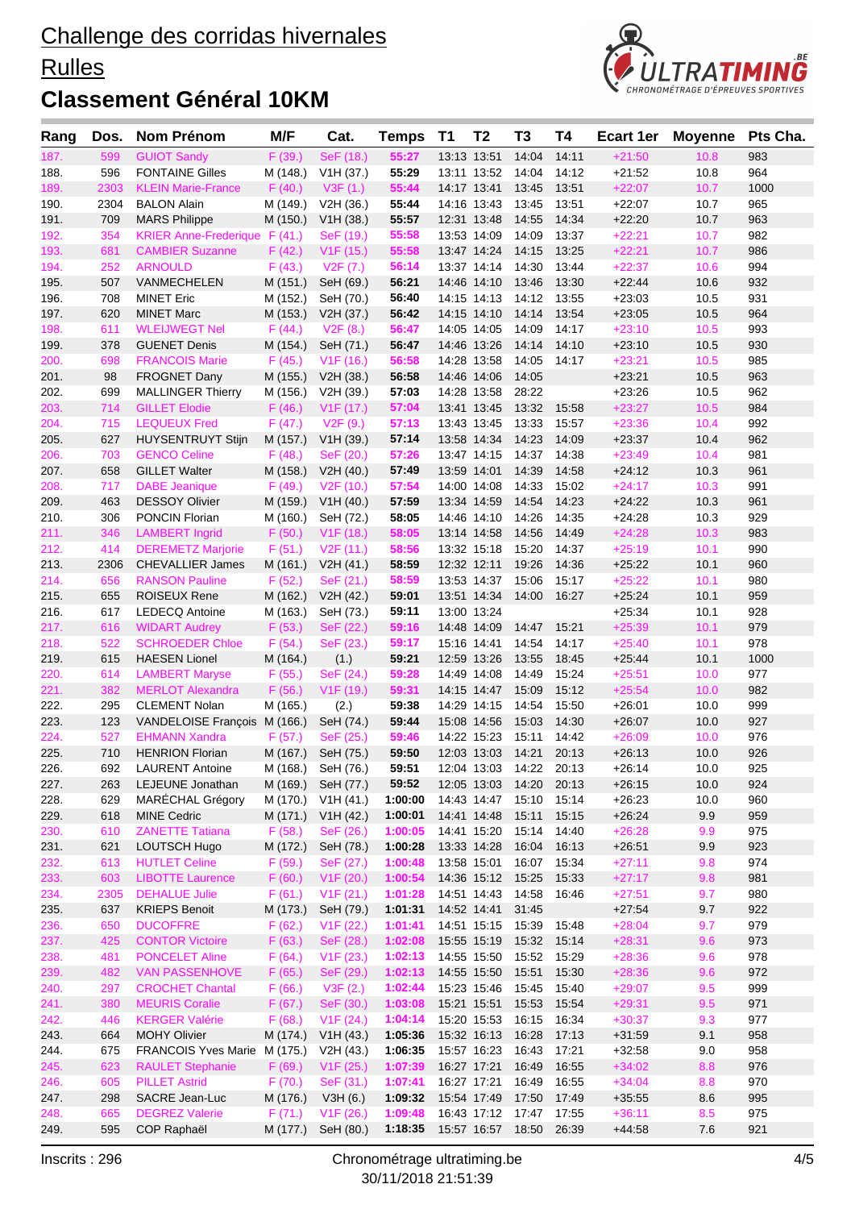### **Rulles**



| Rang         | Dos.       | Nom Prénom                                | M/F                | Cat.                   | <b>Temps</b>       | <b>T1</b>   | T <sub>2</sub>             | T3                | Τ4             | <b>Ecart 1er</b>     | <b>Moyenne</b> | Pts Cha.   |
|--------------|------------|-------------------------------------------|--------------------|------------------------|--------------------|-------------|----------------------------|-------------------|----------------|----------------------|----------------|------------|
| 187.         | 599        | <b>GUIOT Sandy</b>                        | F(39.)             | SeF (18.)              | 55:27              |             | 13:13 13:51                | 14:04             | 14:11          | $+21:50$             | 10.8           | 983        |
| 188.         | 596        | <b>FONTAINE Gilles</b>                    | M (148.)           | V1H (37.)              | 55:29              |             | 13:11 13:52                | 14:04             | 14:12          | $+21:52$             | 10.8           | 964        |
| 189.         | 2303       | <b>KLEIN Marie-France</b>                 | F(40.)             | V3F(1.)                | 55:44              |             | 14:17 13:41                | 13:45             | 13:51          | $+22:07$             | 10.7           | 1000       |
| 190.         | 2304       | <b>BALON Alain</b>                        | M (149.)           | V2H (36.)              | 55:44              |             | 14:16 13:43                | 13:45             | 13:51          | $+22:07$             | 10.7           | 965        |
| 191.         | 709        | <b>MARS Philippe</b>                      | M (150.)           | V1H (38.)              | 55:57              |             | 12:31 13:48                | 14:55             | 14:34          | $+22:20$             | 10.7           | 963        |
| 192.         | 354        | <b>KRIER Anne-Frederique</b>              | F(41.)             | SeF (19.)              | 55:58              |             | 13:53 14:09                | 14:09             | 13:37          | $+22:21$             | 10.7           | 982        |
| 193.         | 681        | <b>CAMBIER Suzanne</b>                    | F(42.)             | V1F(15.)               | 55:58              |             | 13:47 14:24                | 14:15             | 13:25          | $+22:21$             | 10.7           | 986        |
| 194.         | 252        | <b>ARNOULD</b>                            | F(43.)             | V2F (7.)               | 56:14              |             | 13:37 14:14                | 14:30             | 13:44          | $+22:37$             | 10.6           | 994        |
| 195.         | 507        | VANMECHELEN                               | M (151.)           | SeH (69.)              | 56:21              |             | 14:46 14:10                | 13:46             | 13:30          | $+22:44$             | 10.6           | 932        |
| 196.         | 708        | <b>MINET Eric</b>                         | M (152.)           | SeH (70.)              | 56:40              |             | 14:15 14:13                | 14:12             | 13:55          | $+23:03$             | 10.5           | 931        |
| 197.<br>198. | 620<br>611 | <b>MINET Marc</b><br><b>WLEIJWEGT Nel</b> | M (153.)<br>F(44.) | V2H (37.)<br>V2F(8.)   | 56:42<br>56:47     |             | 14:15 14:10<br>14:05 14:05 | 14:14<br>14:09    | 13:54<br>14:17 | $+23:05$<br>$+23:10$ | 10.5<br>10.5   | 964<br>993 |
| 199.         | 378        | <b>GUENET Denis</b>                       | M (154.)           | SeH (71.)              | 56:47              |             | 14:46 13:26                | 14:14             | 14:10          | $+23:10$             | 10.5           | 930        |
| 200.         | 698        | <b>FRANCOIS Marie</b>                     | F(45.)             | V1F(16.)               | 56:58              |             | 14:28 13:58                | 14:05             | 14:17          | $+23:21$             | 10.5           | 985        |
| 201.         | 98         | <b>FROGNET Dany</b>                       | M (155.)           | V2H (38.)              | 56:58              |             | 14:46 14:06                | 14:05             |                | $+23.21$             | 10.5           | 963        |
| 202.         | 699        | <b>MALLINGER Thierry</b>                  | M (156.)           | V2H (39.)              | 57:03              |             | 14:28 13:58                | 28:22             |                | $+23.26$             | 10.5           | 962        |
| 203.         | 714        | <b>GILLET Elodie</b>                      | F(46.)             | V1F(17.)               | 57:04              |             | 13:41 13:45                | 13:32             | 15:58          | $+23:27$             | 10.5           | 984        |
| 204.         | 715        | <b>LEQUEUX Fred</b>                       | F(47.)             | V2F(9.)                | 57:13              |             | 13:43 13:45                | 13:33             | 15:57          | $+23:36$             | 10.4           | 992        |
| 205.         | 627        | <b>HUYSENTRUYT Stijn</b>                  | M (157.)           | V1H (39.)              | 57:14              |             | 13:58 14:34                | 14:23             | 14:09          | $+23:37$             | 10.4           | 962        |
| 206.         | 703        | <b>GENCO Celine</b>                       | F(48.)             | SeF (20.)              | 57:26              |             | 13:47 14:15                | 14:37             | 14:38          | $+23:49$             | 10.4           | 981        |
| 207.         | 658        | <b>GILLET Walter</b>                      | M (158.)           | V2H (40.)              | 57:49              |             | 13:59 14:01                | 14:39             | 14:58          | $+24:12$             | 10.3           | 961        |
| 208.         | 717        | <b>DABE</b> Jeanique                      | F(49.)             | V2F(10.)               | 57:54              |             | 14:00 14:08                | 14:33             | 15:02          | $+24:17$             | 10.3           | 991        |
| 209.         | 463        | <b>DESSOY Olivier</b>                     | M (159.)           | V1H (40.)              | 57:59              |             | 13:34 14:59                | 14:54             | 14:23          | $+24.22$             | 10.3           | 961        |
| 210.         | 306        | PONCIN Florian                            | M (160.)           | SeH (72.)              | 58:05              |             | 14:46 14:10                | 14:26             | 14:35          | $+24.28$             | 10.3           | 929        |
| 211.         | 346        | <b>LAMBERT Ingrid</b>                     | F(50.)             | V1F(18.)               | 58:05              |             | 13:14 14:58                | 14:56             | 14:49          | $+24:28$             | 10.3           | 983        |
| 212.         | 414        | <b>DEREMETZ Marjorie</b>                  | F(51.)             | V2F(11.)               | 58:56              |             | 13:32 15:18                | 15:20             | 14:37          | $+25:19$             | 10.1           | 990        |
| 213.         | 2306       | <b>CHEVALLIER James</b>                   | M (161.)           | V2H (41.)              | 58:59              |             | 12:32 12:11                | 19:26             | 14:36          | $+25:22$             | 10.1           | 960        |
| 214.         | 656        | <b>RANSON Pauline</b>                     | F(52.)             | SeF(21.)               | 58:59              |             | 13:53 14:37                | 15:06             | 15:17          | $+25:22$             | 10.1           | 980        |
| 215.         | 655        | <b>ROISEUX Rene</b>                       | M (162.)           | V2H (42.)              | 59:01              |             |                            | 13:51 14:34 14:00 | 16:27          | $+25.24$             | 10.1           | 959        |
| 216.<br>217. | 617<br>616 | LEDECQ Antoine<br><b>WIDART Audrey</b>    | M (163.)<br>F(53.) | SeH (73.)<br>SeF (22.) | 59:11<br>59:16     |             | 13:00 13:24<br>14:48 14:09 | 14:47             | 15:21          | $+25:34$<br>$+25:39$ | 10.1<br>10.1   | 928<br>979 |
| 218.         | 522        | <b>SCHROEDER Chloe</b>                    | F(54.)             | SeF (23.)              | 59:17              |             | 15:16 14:41                | 14:54             | 14:17          | $+25:40$             | 10.1           | 978        |
| 219.         | 615        | <b>HAESEN Lionel</b>                      | M (164.)           | (1.)                   | 59:21              |             | 12:59 13:26                | 13:55             | 18:45          | $+25.44$             | 10.1           | 1000       |
| 220.         | 614        | <b>LAMBERT Maryse</b>                     | F(55.)             | SeF (24.)              | 59:28              |             | 14:49 14:08                | 14:49             | 15:24          | $+25:51$             | 10.0           | 977        |
| 221.         | 382        | <b>MERLOT Alexandra</b>                   | F(56.)             | V1F(19.)               | 59:31              |             | 14:15 14:47                | 15:09             | 15:12          | $+25:54$             | 10.0           | 982        |
| 222.         | 295        | <b>CLEMENT Nolan</b>                      | M (165.)           | (2.)                   | 59:38              |             | 14:29 14:15                | 14:54             | 15:50          | $+26:01$             | 10.0           | 999        |
| 223.         | 123        | VANDELOISE François M (166.)              |                    | SeH (74.)              | 59:44              |             | 15:08 14:56                | 15:03             | 14:30          | $+26:07$             | 10.0           | 927        |
| 224.         | 527        | <b>EHMANN Xandra</b>                      | F(57.)             | SeF (25.)              | 59:46              |             | 14:22 15:23                | 15:11             | 14:42          | $+26:09$             | 10.0           | 976        |
| 225.         | 710        | <b>HENRION Florian</b>                    | M (167.)           | SeH (75.)              | 59:50              |             | 12:03 13:03 14:21          |                   | 20:13          | $+26:13$             | 10.0           | 926        |
| 226.         | 692        | <b>LAURENT Antoine</b>                    |                    | M (168.) SeH (76.)     | 59:51              |             |                            | 12:04 13:03 14:22 | 20:13          | $+26:14$             | 10.0           | 925        |
| 227.         | 263        | LEJEUNE Jonathan                          | M (169.)           | SeH (77.)              | 59:52              |             | 12:05 13:03                | 14:20             | 20:13          | $+26:15$             | 10.0           | 924        |
| 228.         | 629        | MARÉCHAL Grégory                          | M (170.)           | V1H(41.)               | 1:00:00            |             | 14:43 14:47                | 15:10             | 15:14          | $+26:23$             | 10.0           | 960        |
| 229.         | 618        | <b>MINE Cedric</b>                        | M (171.)           | V1H (42.)              | 1:00:01            |             | 14:41 14:48                | 15:11             | 15:15          | $+26:24$             | 9.9            | 959        |
| 230.         | 610        | <b>ZANETTE Tatiana</b>                    | F(58.)             | SeF (26.)              | 1:00:05            |             | 14:41 15:20                | 15:14             | 14:40          | $+26:28$             | 9.9            | 975        |
| 231.         | 621        | LOUTSCH Hugo<br><b>HUTLET Celine</b>      | M (172.)           | SeH (78.)              | 1:00:28            |             | 13:33 14:28                | 16:04             | 16:13          | $+26:51$             | 9.9            | 923        |
| 232.<br>233. | 613<br>603 | <b>LIBOTTE Laurence</b>                   | F(59.)<br>F(60.)   | SeF (27.)<br>V1F(20.)  | 1:00:48<br>1:00:54 |             | 13:58 15:01<br>14:36 15:12 | 16:07<br>15:25    | 15:34<br>15:33 | $+27:11$<br>$+27:17$ | 9.8<br>9.8     | 974<br>981 |
| 234.         | 2305       | <b>DEHALUE Julie</b>                      | F(61.)             | V1F(21.)               | 1:01:28            |             | 14:51 14:43                | 14:58             | 16:46          | $+27:51$             | 9.7            | 980        |
| 235.         | 637        | <b>KRIEPS Benoit</b>                      | M (173.)           | SeH (79.)              | 1:01:31            |             | 14:52 14:41                | 31:45             |                | $+27:54$             | 9.7            | 922        |
| 236.         | 650        | <b>DUCOFFRE</b>                           | F(62.)             | V1F(22.)               | 1:01:41            |             | 14:51 15:15                | 15:39             | 15:48          | $+28:04$             | 9.7            | 979        |
| 237.         | 425        | <b>CONTOR Victoire</b>                    | F(63.)             | SeF (28.)              | 1:02:08            |             | 15:55 15:19                | 15:32             | 15:14          | $+28:31$             | 9.6            | 973        |
| 238.         | 481        | <b>PONCELET Aline</b>                     | F(64.)             | V1F(23.)               | 1:02:13            |             | 14:55 15:50                | 15:52             | 15:29          | $+28:36$             | 9.6            | 978        |
| 239.         | 482        | <b>VAN PASSENHOVE</b>                     | F(65.)             | SeF (29.)              | 1:02:13            |             | 14:55 15:50                | 15:51             | 15:30          | $+28:36$             | 9.6            | 972        |
| 240.         | 297        | <b>CROCHET Chantal</b>                    | F(66.)             | V3F(2.)                | 1:02:44            |             | 15:23 15:46                | 15:45             | 15:40          | $+29:07$             | 9.5            | 999        |
| 241.         | 380        | <b>MEURIS Coralie</b>                     | F (67.)            | SeF (30.)              | 1:03:08            |             | 15:21 15:51                | 15:53             | 15:54          | $+29:31$             | 9.5            | 971        |
| 242.         | 446        | <b>KERGER Valérie</b>                     | F(68.)             | V1F(24.)               | 1:04:14            |             | 15:20 15:53                | 16:15             | 16:34          | $+30:37$             | 9.3            | 977        |
| 243.         | 664        | <b>MOHY Olivier</b>                       | M (174.)           | V1H (43.)              | 1:05:36            |             | 15:32 16:13                | 16:28             | 17:13          | $+31:59$             | 9.1            | 958        |
| 244.         | 675        | FRANCOIS Yves Marie M (175.)              |                    | V2H (43.)              | 1:06:35            |             | 15:57 16:23                | 16:43             | 17:21          | $+32:58$             | 9.0            | 958        |
| 245.         | 623        | <b>RAULET Stephanie</b>                   | F(69.)             | V1F(25.)               | 1:07:39            | 16:27 17:21 |                            | 16:49             | 16:55          | $+34:02$             | 8.8            | 976        |
| 246.         | 605        | <b>PILLET Astrid</b>                      | F(70.)             | SeF (31.)              | 1:07:41            |             | 16:27 17:21                | 16:49             | 16:55          | $+34:04$             | 8.8            | 970        |
| 247.         | 298        | SACRE Jean-Luc                            | M (176.)           | V3H(6.)                | 1:09:32            |             | 15:54 17:49                | 17:50             | 17:49          | $+35:55$             | 8.6            | 995        |
| 248.         | 665        | <b>DEGREZ Valerie</b>                     | F(71.)             | V1F(26.)               | 1:09:48            |             |                            | 16:43 17:12 17:47 | 17:55          | $+36:11$             | 8.5            | 975        |
| 249.         | 595        | COP Raphaël                               | M (177.)           | SeH (80.)              | 1:18:35            |             |                            | 15:57 16:57 18:50 | 26:39          | $+44.58$             | 7.6            | 921        |